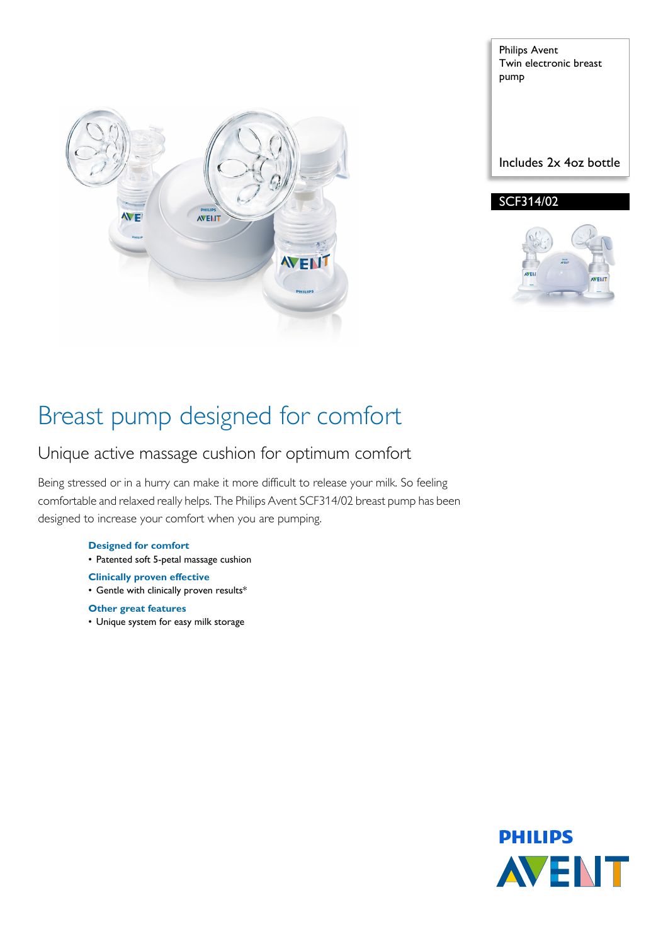

Philips Avent Twin electronic breast pump

Includes 2x 4oz bottle

### SCF314/02



# Breast pump designed for comfort

### Unique active massage cushion for optimum comfort

Being stressed or in a hurry can make it more difficult to release your milk. So feeling comfortable and relaxed really helps. The Philips Avent SCF314/02 breast pump has been designed to increase your comfort when you are pumping.

#### **Designed for comfort**

• Patented soft 5-petal massage cushion

### **Clinically proven effective**

- Gentle with clinically proven results\*
- **Other great features**
- Unique system for easy milk storage